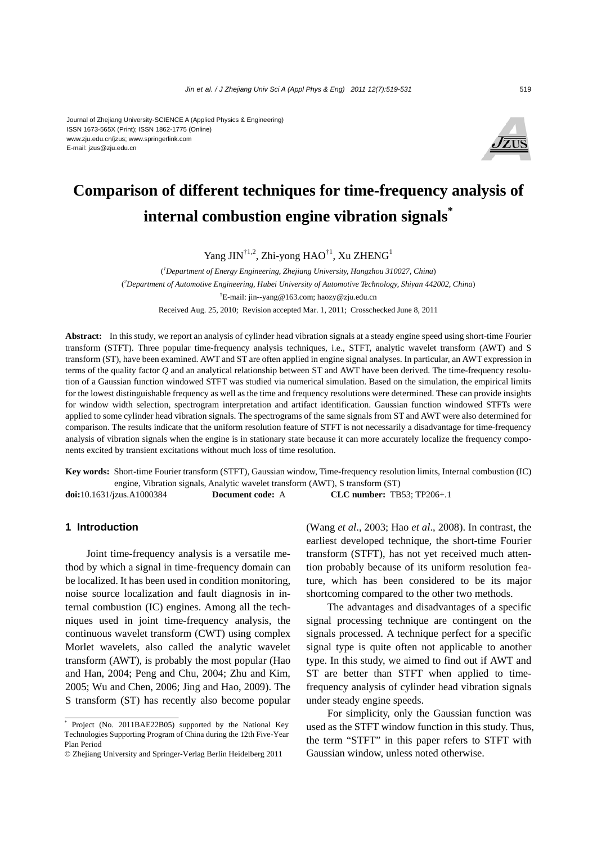#### Journal of Zhejiang University-SCIENCE A (Applied Physics & Engineering) ISSN 1673-565X (Print); ISSN 1862-1775 (Online) www.zju.edu.cn/jzus; www.springerlink.com E-mail: jzus@zju.edu.cn



# **Comparison of different techniques for time-frequency analysis of internal combustion engine vibration signals\***

Yang JIN<sup>†1,2</sup>, Zhi-yong HAO<sup>†1</sup>, Xu ZHENG<sup>1</sup>

( *1 Department of Energy Engineering, Zhejiang University, Hangzhou 310027, China*) ( *2 Department of Automotive Engineering, Hubei University of Automotive Technology, Shiyan 442002, China*) † E-mail: jin--yang@163.com; haozy@zju.edu.cn Received Aug. 25, 2010; Revision accepted Mar. 1, 2011; Crosschecked June 8, 2011

**Abstract:** In this study, we report an analysis of cylinder head vibration signals at a steady engine speed using short-time Fourier transform (STFT). Three popular time-frequency analysis techniques, i.e., STFT, analytic wavelet transform (AWT) and S transform (ST), have been examined. AWT and ST are often applied in engine signal analyses. In particular, an AWT expression in terms of the quality factor *Q* and an analytical relationship between ST and AWT have been derived. The time-frequency resolution of a Gaussian function windowed STFT was studied via numerical simulation. Based on the simulation, the empirical limits for the lowest distinguishable frequency as well as the time and frequency resolutions were determined. These can provide insights for window width selection, spectrogram interpretation and artifact identification. Gaussian function windowed STFTs were applied to some cylinder head vibration signals. The spectrograms of the same signals from ST and AWT were also determined for comparison. The results indicate that the uniform resolution feature of STFT is not necessarily a disadvantage for time-frequency analysis of vibration signals when the engine is in stationary state because it can more accurately localize the frequency components excited by transient excitations without much loss of time resolution.

**Key words:** Short-time Fourier transform (STFT), Gaussian window, Time-frequency resolution limits, Internal combustion (IC) engine, Vibration signals, Analytic wavelet transform (AWT), S transform (ST) **doi:**10.1631/jzus.A1000384 **Document code:** A **CLC number:** TB53; TP206+.1

## **1 Introduction**

Joint time-frequency analysis is a versatile method by which a signal in time-frequency domain can be localized. It has been used in condition monitoring, noise source localization and fault diagnosis in internal combustion (IC) engines. Among all the techniques used in joint time-frequency analysis, the continuous wavelet transform (CWT) using complex Morlet wavelets, also called the analytic wavelet transform (AWT), is probably the most popular (Hao and Han, 2004; Peng and Chu, 2004; Zhu and Kim, 2005; Wu and Chen, 2006; Jing and Hao, 2009). The S transform (ST) has recently also become popular (Wang *et al*., 2003; Hao *et al*., 2008). In contrast, the earliest developed technique, the short-time Fourier transform (STFT), has not yet received much attention probably because of its uniform resolution feature, which has been considered to be its major shortcoming compared to the other two methods.

The advantages and disadvantages of a specific signal processing technique are contingent on the signals processed. A technique perfect for a specific signal type is quite often not applicable to another type. In this study, we aimed to find out if AWT and ST are better than STFT when applied to timefrequency analysis of cylinder head vibration signals under steady engine speeds.

For simplicity, only the Gaussian function was used as the STFT window function in this study. Thus, the term "STFT" in this paper refers to STFT with Gaussian window, unless noted otherwise.

<sup>\*</sup> Project (No. 2011BAE22B05) supported by the National Key Technologies Supporting Program of China during the 12th Five-Year Plan Period

<sup>©</sup> Zhejiang University and Springer-Verlag Berlin Heidelberg 2011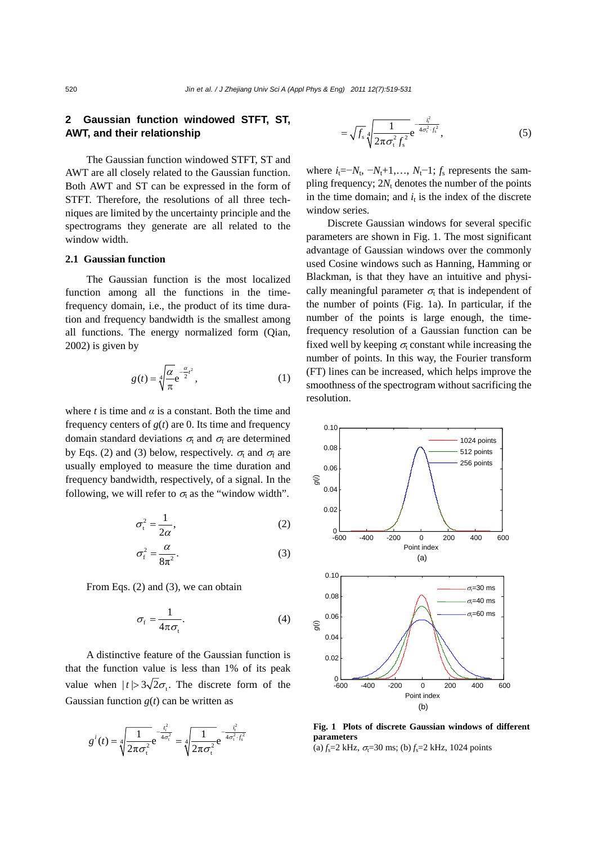# **2 Gaussian function windowed STFT, ST, AWT, and their relationship**

The Gaussian function windowed STFT, ST and AWT are all closely related to the Gaussian function. Both AWT and ST can be expressed in the form of STFT. Therefore, the resolutions of all three techniques are limited by the uncertainty principle and the spectrograms they generate are all related to the window width.

#### **2.1 Gaussian function**

The Gaussian function is the most localized function among all the functions in the timefrequency domain, i.e., the product of its time duration and frequency bandwidth is the smallest among all functions. The energy normalized form (Qian, 2002) is given by

$$
g(t) = \sqrt[4]{\frac{\alpha}{\pi}} e^{-\frac{\alpha}{2}t^2},
$$
 (1)

where *t* is time and  $\alpha$  is a constant. Both the time and frequency centers of  $g(t)$  are 0. Its time and frequency domain standard deviations  $\sigma_t$  and  $\sigma_f$  are determined by Eqs. (2) and (3) below, respectively.  $\sigma_t$  and  $\sigma_f$  are usually employed to measure the time duration and frequency bandwidth, respectively, of a signal. In the following, we will refer to  $\sigma_t$  as the "window width".

$$
\sigma_{t}^{2} = \frac{1}{2\alpha},\tag{2}
$$

$$
\sigma_{\rm f}^2 = \frac{\alpha}{8\pi^2}.\tag{3}
$$

From Eqs. (2) and (3), we can obtain

$$
\sigma_{\rm f} = \frac{1}{4\pi\sigma_{\rm t}}.\tag{4}
$$

A distinctive feature of the Gaussian function is that the function value is less than 1% of its peak value when  $|t| > 3\sqrt{2}\sigma$ . The discrete form of the Gaussian function  $g(t)$  can be written as

$$
g^{i}(t) = \sqrt[4]{\frac{1}{2\pi\sigma_{t}^{2}}}e^{-\frac{t_{t}^{2}}{4\sigma_{t}^{2}}} = \sqrt[4]{\frac{1}{2\pi\sigma_{t}^{2}}}e^{-\frac{t_{t}^{2}}{4\sigma_{t}^{2}\cdot f_{s}^{2}}}
$$

$$
= \sqrt{f_s} \sqrt[4]{\frac{1}{2\pi \sigma_t^2 f_s^2}} e^{-\frac{t_t^2}{4\sigma_t^2 \cdot f_s^2}}, \tag{5}
$$

where  $i_t = -N_t$ ,  $-N_t+1, \ldots, N_t-1$ ;  $f_s$  represents the sampling frequency;  $2N_t$  denotes the number of the points in the time domain; and  $i_t$  is the index of the discrete window series.

Discrete Gaussian windows for several specific parameters are shown in Fig. 1. The most significant advantage of Gaussian windows over the commonly used Cosine windows such as Hanning, Hamming or Blackman, is that they have an intuitive and physically meaningful parameter  $\sigma_t$  that is independent of the number of points (Fig. 1a). In particular, if the number of the points is large enough, the timefrequency resolution of a Gaussian function can be fixed well by keeping  $\sigma_t$  constant while increasing the number of points. In this way, the Fourier transform (FT) lines can be increased, which helps improve the smoothness of the spectrogram without sacrificing the resolution.



**Fig. 1 Plots of discrete Gaussian windows of different parameters**  (a)  $f_s$ =2 kHz,  $\sigma_f$ =30 ms; (b)  $f_s$ =2 kHz, 1024 points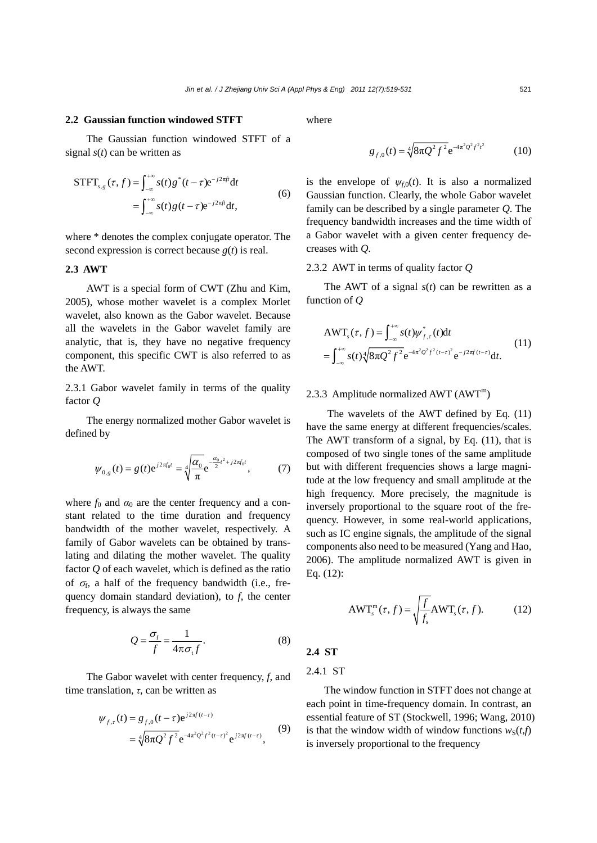## **2.2 Gaussian function windowed STFT**

The Gaussian function windowed STFT of a signal *s*(*t*) can be written as

$$
\begin{aligned} \text{STFT}_{s,g}(\tau,f) &= \int_{-\infty}^{+\infty} s(t) \, g^*(t-\tau) \mathrm{e}^{-j2\pi ft} \mathrm{d}t \\ &= \int_{-\infty}^{+\infty} s(t) \, g\left(t-\tau\right) \mathrm{e}^{-j2\pi ft} \mathrm{d}t, \end{aligned} \tag{6}
$$

where \* denotes the complex conjugate operator. The second expression is correct because *g*(*t*) is real.

#### **2.3 AWT**

AWT is a special form of CWT (Zhu and Kim, 2005), whose mother wavelet is a complex Morlet wavelet, also known as the Gabor wavelet. Because all the wavelets in the Gabor wavelet family are analytic, that is, they have no negative frequency component, this specific CWT is also referred to as the AWT.

2.3.1 Gabor wavelet family in terms of the quality factor *Q*

The energy normalized mother Gabor wavelet is defined by

$$
\psi_{0,g}(t) = g(t)e^{j2\pi f_0 t} = \sqrt[4]{\frac{\alpha_0}{\pi}} e^{-\frac{\alpha_0}{2}t^2 + j2\pi f_0 t}, \qquad (7)
$$

where  $f_0$  and  $\alpha_0$  are the center frequency and a constant related to the time duration and frequency bandwidth of the mother wavelet, respectively. A family of Gabor wavelets can be obtained by translating and dilating the mother wavelet. The quality factor *Q* of each wavelet, which is defined as the ratio of  $\sigma_f$ , a half of the frequency bandwidth (i.e., frequency domain standard deviation), to *f*, the center frequency, is always the same

$$
Q = \frac{\sigma_{\rm f}}{f} = \frac{1}{4\pi\sigma_{\rm t}f}.
$$
 (8)

The Gabor wavelet with center frequency, *f*, and time translation, *τ*, can be written as

$$
\psi_{f,\tau}(t) = g_{f,0}(t-\tau)e^{j2\pi f(t-\tau)} \n= \sqrt[4]{8\pi Q^2 f^2} e^{-4\pi^2 Q^2 f^2(t-\tau)^2} e^{j2\pi f(t-\tau)},
$$
\n(9)

where

$$
g_{f,0}(t) = \sqrt[4]{8\pi Q^2 f^2} e^{-4\pi^2 Q^2 f^2 t^2}
$$
 (10)

is the envelope of  $\psi_{f0}(t)$ . It is also a normalized Gaussian function. Clearly, the whole Gabor wavelet family can be described by a single parameter *Q*. The frequency bandwidth increases and the time width of a Gabor wavelet with a given center frequency decreases with *Q*.

#### 2.3.2 AWT in terms of quality factor *Q*

The AWT of a signal *s*(*t*) can be rewritten as a function of *Q*

$$
\begin{aligned} &\text{AWT}_{s}(\tau,f) = \int_{-\infty}^{+\infty} s(t) \psi_{f,\tau}^{*}(t) \text{d}t \\ &= \int_{-\infty}^{+\infty} s(t) \sqrt[4]{8\pi Q^{2} f^{2}} e^{-4\pi^{2} Q^{2} f^{2}(t-\tau)^{2}} e^{-j2\pi f(t-\tau)} \text{d}t. \end{aligned} \tag{11}
$$

## 2.3.3 Amplitude normalized AWT  $(AWT<sup>m</sup>)$

The wavelets of the AWT defined by Eq. (11) have the same energy at different frequencies/scales. The AWT transform of a signal, by Eq. (11), that is composed of two single tones of the same amplitude but with different frequencies shows a large magnitude at the low frequency and small amplitude at the high frequency. More precisely, the magnitude is inversely proportional to the square root of the frequency. However, in some real-world applications, such as IC engine signals, the amplitude of the signal components also need to be measured (Yang and Hao, 2006). The amplitude normalized AWT is given in Eq. (12):

$$
AWT_{s}^{\mathfrak{m}}(\tau,f) = \sqrt{\frac{f}{f_{s}}} AWT_{s}(\tau,f). \tag{12}
$$

## **2.4 ST**

#### 2.4.1 ST

The window function in STFT does not change at each point in time-frequency domain. In contrast, an essential feature of ST (Stockwell, 1996; Wang, 2010) is that the window width of window functions  $w_S(t,f)$ is inversely proportional to the frequency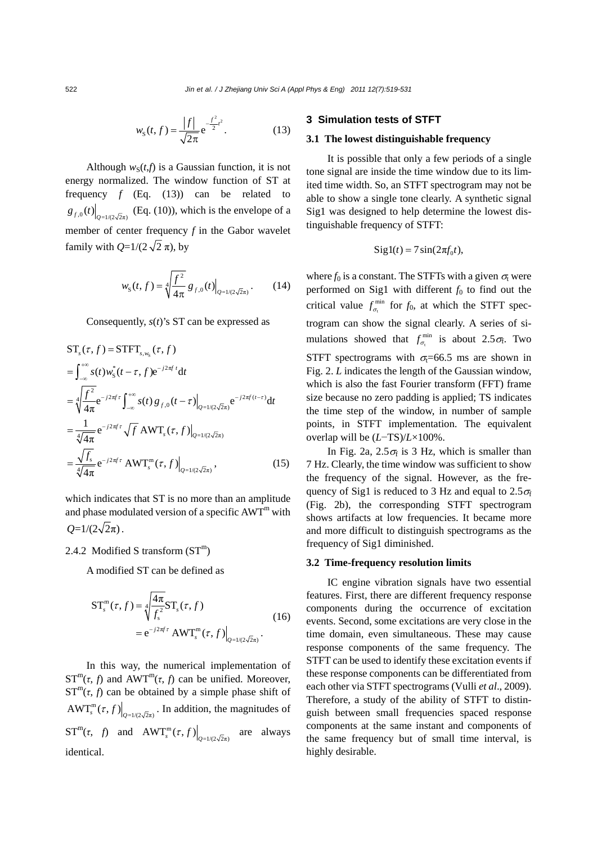$$
w_{\rm s}(t,f) = \frac{|f|}{\sqrt{2\pi}} e^{-\frac{f^2}{2}t^2}.
$$
 (13)

Although  $w_S(t,f)$  is a Gaussian function, it is not energy normalized. The window function of ST at frequency *f* (Eq. (13)) can be related to  $g_{f,0}(t)$ <sub> $Q_{\frac{1}{2}$ </sub>  $(z)$ <sub> $\sqrt{2\pi}$ </sub> (Eq. (10)), which is the envelope of a member of center frequency *f* in the Gabor wavelet family with  $Q=1/(2\sqrt{2}\pi)$ , by

$$
w_{\rm s}(t,f) = \sqrt[4]{\frac{f^2}{4\pi}} g_{f,0}(t) \Big|_{Q=1/(2\sqrt{2}\pi)}.
$$
 (14)

Consequently, *s*(*t*)'s ST can be expressed as

$$
ST_s(\tau, f) = STFT_{s, w_s}(\tau, f)
$$
  
\n
$$
= \int_{-\infty}^{+\infty} s(t) w_s^*(t - \tau, f) e^{-j2\pi f t} dt
$$
  
\n
$$
= \sqrt[4]{\frac{f^2}{4\pi}} e^{-j2\pi f \tau} \int_{-\infty}^{+\infty} s(t) g_{f,0}(t - \tau) \Big|_{Q=1/(2\sqrt{2}\pi)} e^{-j2\pi f (t - \tau)} dt
$$
  
\n
$$
= \frac{1}{\sqrt[4]{4\pi}} e^{-j2\pi f \tau} \sqrt{f} AWT_s(\tau, f) \Big|_{Q=1/(2\sqrt{2}\pi)}
$$
  
\n
$$
= \frac{\sqrt{f_s}}{\sqrt[4]{4\pi}} e^{-j2\pi f \tau} AWT_s(\tau, f) \Big|_{Q=1/(2\sqrt{2}\pi)},
$$
\n(15)

which indicates that ST is no more than an amplitude and phase modulated version of a specific  $AWT<sup>m</sup>$  with  $Q=1/(2\sqrt{2}\pi)$ .

#### 2.4.2 Modified S transform  $(ST<sup>m</sup>)$

A modified ST can be defined as

$$
ST_s^m(\tau, f) = \sqrt[4]{\frac{4\pi}{f_s^2}} ST_s(\tau, f)
$$
  
=  $e^{-j2\pi f \tau} AWT_s^m(\tau, f)|_{Q=1/(2\sqrt{2}\pi)}$ . (16)

In this way, the numerical implementation of  $ST^{m}(\tau, f)$  and  $AWT^{m}(\tau, f)$  can be unified. Moreover,  $ST^{m}(\tau, f)$  can be obtained by a simple phase shift of  $\left(\frac{AWT_{s}^{m}(\tau, f)}{\sigma_{\frac{1}{2}}(2\sqrt{2}\pi)}\right)$ . In addition, the magnitudes of  $ST^{m}(\tau, f)$  and  $AWT_{s}^{m}(\tau, f)\Big|_{Q=1/(2\sqrt{2}\pi)}$  are always identical.

## **3 Simulation tests of STFT**

#### **3.1 The lowest distinguishable frequency**

It is possible that only a few periods of a single tone signal are inside the time window due to its limited time width. So, an STFT spectrogram may not be able to show a single tone clearly. A synthetic signal Sig1 was designed to help determine the lowest distinguishable frequency of STFT:

$$
Sig1(t) = 7\sin(2\pi f_0 t),
$$

where  $f_0$  is a constant. The STFTs with a given  $\sigma_t$  were performed on Sig1 with different  $f_0$  to find out the critical value  $f_{\sigma_t}^{\min}$  for  $f_0$ , at which the STFT spectrogram can show the signal clearly. A series of simulations showed that  $f_{\sigma_t}^{\min}$  is about 2.5 $\sigma_f$ . Two STFT spectrograms with  $\sigma$ =66.5 ms are shown in Fig. 2. *L* indicates the length of the Gaussian window, which is also the fast Fourier transform (FFT) frame size because no zero padding is applied; TS indicates the time step of the window, in number of sample points, in STFT implementation. The equivalent overlap will be (*L*−TS)/*L*×100%.

In Fig. 2a,  $2.5\sigma_f$  is 3 Hz, which is smaller than 7 Hz. Clearly, the time window was sufficient to show the frequency of the signal. However, as the frequency of Sig1 is reduced to 3 Hz and equal to  $2.5\sigma_{\rm f}$ (Fig. 2b), the corresponding STFT spectrogram shows artifacts at low frequencies. It became more and more difficult to distinguish spectrograms as the frequency of Sig1 diminished.

#### **3.2 Time-frequency resolution limits**

IC engine vibration signals have two essential features. First, there are different frequency response components during the occurrence of excitation events. Second, some excitations are very close in the time domain, even simultaneous. These may cause response components of the same frequency. The STFT can be used to identify these excitation events if these response components can be differentiated from each other via STFT spectrograms (Vulli *et al*., 2009). Therefore, a study of the ability of STFT to distinguish between small frequencies spaced response components at the same instant and components of the same frequency but of small time interval, is highly desirable.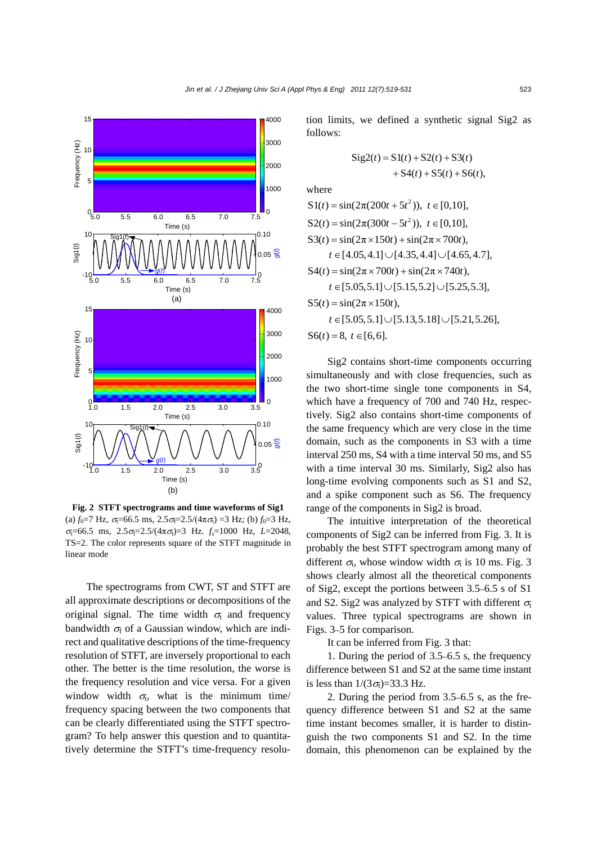

**Fig. 2 STFT spectrograms and time waveforms of Sig1** (a)  $f_0$ =7 Hz,  $\sigma$ <sub>i</sub>=66.5 ms, 2.5 $\sigma$ <sub>i</sub>=2.5/(4 $\pi \sigma$ <sub>i</sub>) =3 Hz; (b)  $f_0$ =3 Hz,  $\sigma_{\rm t}$ =66.5 ms,  $2.5\sigma_{\rm t}$ =2.5/( $4\pi\sigma_{\rm t}$ )=3 Hz.  $f_{\rm s}$ =1000 Hz, *L*=2048, TS=2. The color represents square of the STFT magnitude in linear mode

The spectrograms from CWT, ST and STFT are all approximate descriptions or decompositions of the original signal. The time width  $\sigma_t$  and frequency bandwidth  $\sigma_f$  of a Gaussian window, which are indirect and qualitative descriptions of the time-frequency resolution of STFT, are inversely proportional to each other. The better is the time resolution, the worse is the frequency resolution and vice versa. For a given window width  $\sigma$ , what is the minimum time/ frequency spacing between the two components that can be clearly differentiated using the STFT spectrogram? To help answer this question and to quantitatively determine the STFT's time-frequency resolution limits, we defined a synthetic signal Sig2 as follows:

$$
Sig2(t) = S1(t) + S2(t) + S3(t) + S4(t) + S5(t) + S6(t),
$$

where

$$
S1(t) = \sin(2\pi(200t + 5t^2)), t \in [0,10],
$$
  
\n
$$
S2(t) = \sin(2\pi(300t - 5t^2)), t \in [0,10],
$$
  
\n
$$
S3(t) = \sin(2\pi \times 150t) + \sin(2\pi \times 700t),
$$
  
\n
$$
t \in [4.05, 4.1] \cup [4.35, 4.4] \cup [4.65, 4.7],
$$
  
\n
$$
S4(t) = \sin(2\pi \times 700t) + \sin(2\pi \times 740t),
$$
  
\n
$$
t \in [5.05, 5.1] \cup [5.15, 5.2] \cup [5.25, 5.3],
$$
  
\n
$$
S5(t) = \sin(2\pi \times 150t),
$$
  
\n
$$
t \in [5.05, 5.1] \cup [5.13, 5.18] \cup [5.21, 5.26],
$$
  
\n
$$
S6(t) = 8, t \in [6, 6].
$$

Sig2 contains short-time components occurring simultaneously and with close frequencies, such as the two short-time single tone components in S4, which have a frequency of 700 and 740 Hz, respectively. Sig2 also contains short-time components of the same frequency which are very close in the time domain, such as the components in S3 with a time interval 250 ms, S4 with a time interval 50 ms, and S5 with a time interval 30 ms. Similarly, Sig2 also has long-time evolving components such as S1 and S2, and a spike component such as S6. The frequency range of the components in Sig2 is broad.

The intuitive interpretation of the theoretical components of Sig2 can be inferred from Fig. 3. It is probably the best STFT spectrogram among many of different  $\sigma_t$ , whose window width  $\sigma_t$  is 10 ms. Fig. 3 shows clearly almost all the theoretical components of Sig2, except the portions between 3.5–6.5 s of S1 and S2. Sig2 was analyzed by STFT with different  $\sigma_t$ values. Three typical spectrograms are shown in Figs. 3–5 for comparison.

It can be inferred from Fig. 3 that:

1. During the period of 3.5–6.5 s, the frequency difference between S1 and S2 at the same time instant is less than  $1/(3\sigma_t) = 33.3$  Hz.

2. During the period from 3.5–6.5 s, as the frequency difference between S1 and S2 at the same time instant becomes smaller, it is harder to distinguish the two components S1 and S2. In the time domain, this phenomenon can be explained by the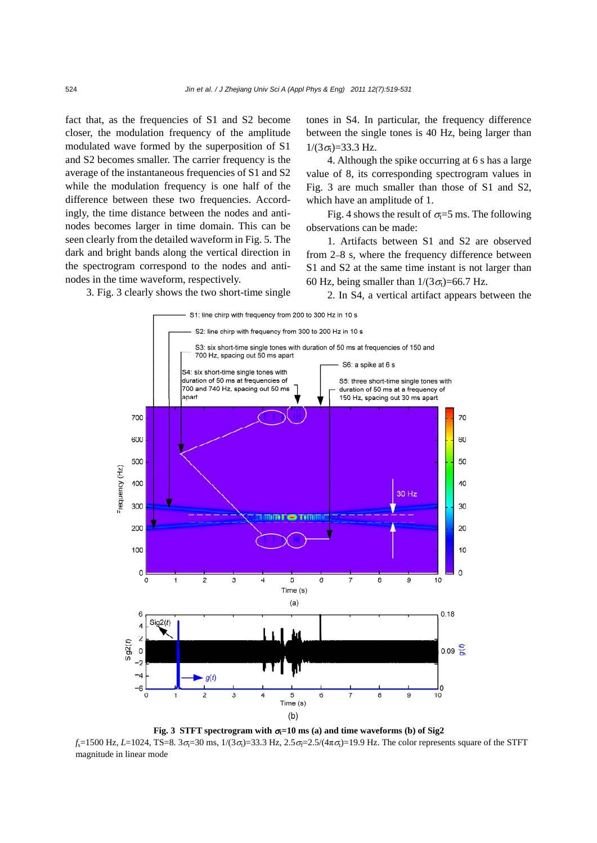fact that, as the frequencies of S1 and S2 become closer, the modulation frequency of the amplitude modulated wave formed by the superposition of S1 and S2 becomes smaller. The carrier frequency is the average of the instantaneous frequencies of S1 and S2 while the modulation frequency is one half of the difference between these two frequencies. Accordingly, the time distance between the nodes and antinodes becomes larger in time domain. This can be seen clearly from the detailed waveform in Fig. 5. The dark and bright bands along the vertical direction in the spectrogram correspond to the nodes and antinodes in the time waveform, respectively.

tones in S4. In particular, the frequency difference between the single tones is 40 Hz, being larger than  $1/(3\sigma_t) = 33.3$  Hz.

4. Although the spike occurring at 6 s has a large value of 8, its corresponding spectrogram values in Fig. 3 are much smaller than those of S1 and S2, which have an amplitude of 1.

Fig. 4 shows the result of  $\sigma = 5$  ms. The following observations can be made:

1. Artifacts between S1 and S2 are observed from 2–8 s, where the frequency difference between S1 and S2 at the same time instant is not larger than 60 Hz, being smaller than  $1/(3\sigma_t)$ =66.7 Hz.

2. In S4, a vertical artifact appears between the

3. Fig. 3 clearly shows the two short-time single



**Fig. 3 STFT spectrogram with**  $\sigma = 10$  **ms (a) and time waveforms (b) of Sig2** 

 $f_s$ =1500 Hz, *L*=1024, TS=8. 3 $\sigma$ <sub>i</sub>=30 ms, 1/(3 $\sigma$ <sub>i</sub>)=33.3 Hz, 2.5 $\sigma$ <sub>i</sub>=2.5/( $4\pi \sigma$ <sub>i</sub>)=19.9 Hz. The color represents square of the STFT magnitude in linear mode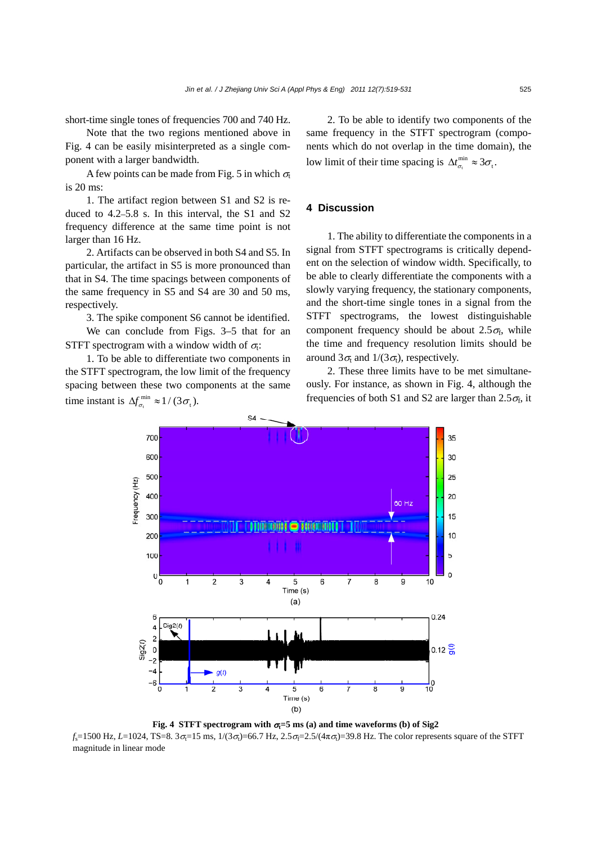short-time single tones of frequencies 700 and 740 Hz.

Note that the two regions mentioned above in Fig. 4 can be easily misinterpreted as a single component with a larger bandwidth.

A few points can be made from Fig. 5 in which  $\sigma_t$ is 20 ms:

1. The artifact region between S1 and S2 is reduced to 4.2–5.8 s. In this interval, the S1 and S2 frequency difference at the same time point is not larger than 16 Hz.

2. Artifacts can be observed in both S4 and S5. In particular, the artifact in S5 is more pronounced than that in S4. The time spacings between components of the same frequency in S5 and S4 are 30 and 50 ms, respectively.

3. The spike component S6 cannot be identified. We can conclude from Figs. 3–5 that for an STFT spectrogram with a window width of  $\sigma_i$ :

1. To be able to differentiate two components in the STFT spectrogram, the low limit of the frequency spacing between these two components at the same time instant is  $\Delta f_{\sigma_t}^{\min} \approx 1/(3 \sigma_t)$ .

 2. To be able to identify two components of the same frequency in the STFT spectrogram (components which do not overlap in the time domain), the low limit of their time spacing is  $\Delta t_{\sigma_t}^{\min} \approx 3\sigma_t$ .

#### **4 Discussion**

1. The ability to differentiate the components in a signal from STFT spectrograms is critically dependent on the selection of window width. Specifically, to be able to clearly differentiate the components with a slowly varying frequency, the stationary components, and the short-time single tones in a signal from the STFT spectrograms, the lowest distinguishable component frequency should be about  $2.5\sigma_f$ , while the time and frequency resolution limits should be around  $3\sigma_t$  and  $1/(3\sigma_t)$ , respectively.

2. These three limits have to be met simultaneously. For instance, as shown in Fig. 4, although the frequencies of both S1 and S2 are larger than  $2.5\sigma_f$ , it



**Fig. 4 STFT spectrogram with**  $\sigma = 5$  **ms (a) and time waveforms (b) of Sig2** 

 $f_s$ =1500 Hz, *L*=1024, TS=8. 3 $\sigma_i$ =15 ms,  $1/(3\sigma_i)$ =66.7 Hz, 2.5 $\sigma_i$ =2.5/( $4\pi \sigma_i$ )=39.8 Hz. The color represents square of the STFT magnitude in linear mode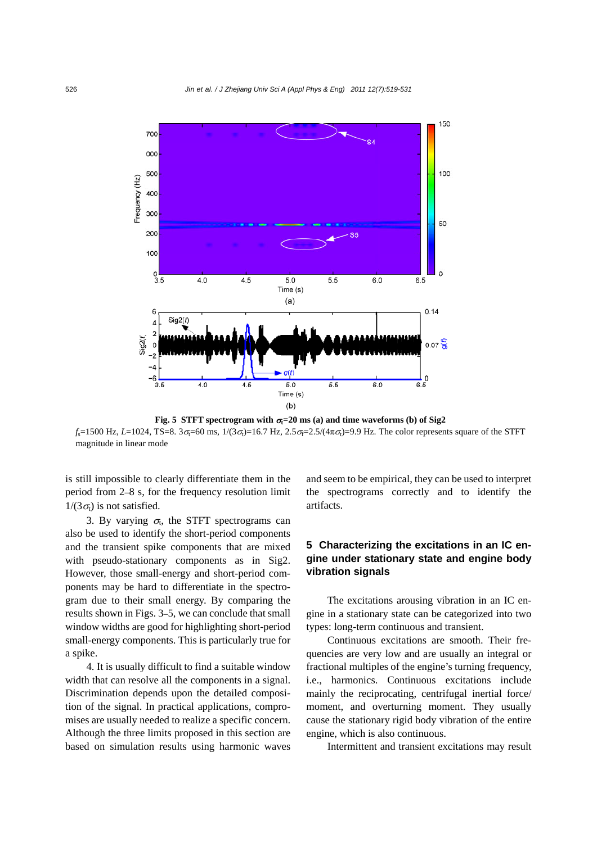

**Fig. 5 STFT spectrogram with**  $\sigma$ **<sub>i</sub>=20 ms (a) and time waveforms (b) of Sig2**  $f_s$ =1500 Hz, *L*=1024, TS=8. 3 $\sigma$ <sub>i</sub>=60 ms, 1/(3 $\sigma$ <sub>i</sub>)=16.7 Hz, 2.5 $\sigma$ <sub>i</sub>=2.5/(4 $\pi \sigma$ <sub>i</sub>)=9.9 Hz. The color represents square of the STFT magnitude in linear mode

is still impossible to clearly differentiate them in the period from 2–8 s, for the frequency resolution limit  $1/(3\sigma_t)$  is not satisfied.

3. By varying  $\sigma$ <sub>i</sub>, the STFT spectrograms can also be used to identify the short-period components and the transient spike components that are mixed with pseudo-stationary components as in Sig2. However, those small-energy and short-period components may be hard to differentiate in the spectrogram due to their small energy. By comparing the results shown in Figs. 3–5, we can conclude that small window widths are good for highlighting short-period small-energy components. This is particularly true for a spike.

4. It is usually difficult to find a suitable window width that can resolve all the components in a signal. Discrimination depends upon the detailed composition of the signal. In practical applications, compromises are usually needed to realize a specific concern. Although the three limits proposed in this section are based on simulation results using harmonic waves

and seem to be empirical, they can be used to interpret the spectrograms correctly and to identify the artifacts.

# **5 Characterizing the excitations in an IC engine under stationary state and engine body vibration signals**

The excitations arousing vibration in an IC engine in a stationary state can be categorized into two types: long-term continuous and transient.

Continuous excitations are smooth. Their frequencies are very low and are usually an integral or fractional multiples of the engine's turning frequency, i.e., harmonics. Continuous excitations include mainly the reciprocating, centrifugal inertial force/ moment, and overturning moment. They usually cause the stationary rigid body vibration of the entire engine, which is also continuous.

Intermittent and transient excitations may result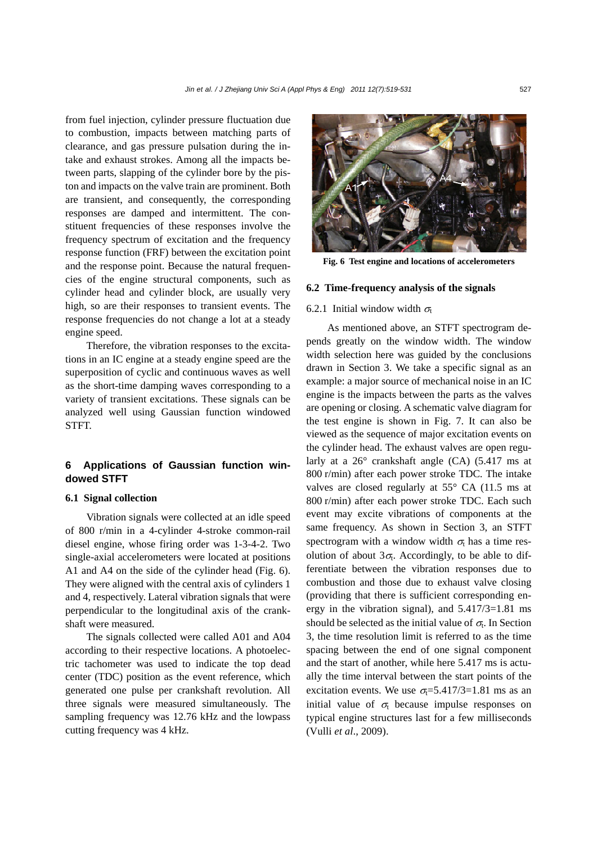from fuel injection, cylinder pressure fluctuation due to combustion, impacts between matching parts of clearance, and gas pressure pulsation during the intake and exhaust strokes. Among all the impacts between parts, slapping of the cylinder bore by the piston and impacts on the valve train are prominent. Both are transient, and consequently, the corresponding responses are damped and intermittent. The constituent frequencies of these responses involve the frequency spectrum of excitation and the frequency response function (FRF) between the excitation point and the response point. Because the natural frequencies of the engine structural components, such as cylinder head and cylinder block, are usually very high, so are their responses to transient events. The response frequencies do not change a lot at a steady engine speed.

Therefore, the vibration responses to the excitations in an IC engine at a steady engine speed are the superposition of cyclic and continuous waves as well as the short-time damping waves corresponding to a variety of transient excitations. These signals can be analyzed well using Gaussian function windowed STFT.

# **6 Applications of Gaussian function windowed STFT**

#### **6.1 Signal collection**

Vibration signals were collected at an idle speed of 800 r/min in a 4-cylinder 4-stroke common-rail diesel engine, whose firing order was 1-3-4-2. Two single-axial accelerometers were located at positions A1 and A4 on the side of the cylinder head (Fig. 6). They were aligned with the central axis of cylinders 1 and 4, respectively. Lateral vibration signals that were perpendicular to the longitudinal axis of the crankshaft were measured.

The signals collected were called A01 and A04 according to their respective locations. A photoelectric tachometer was used to indicate the top dead center (TDC) position as the event reference, which generated one pulse per crankshaft revolution. All three signals were measured simultaneously. The sampling frequency was 12.76 kHz and the lowpass cutting frequency was 4 kHz.



**Fig. 6 Test engine and locations of accelerometers** 

#### **6.2 Time-frequency analysis of the signals**

#### 6.2.1 Initial window width  $\sigma_t$

As mentioned above, an STFT spectrogram depends greatly on the window width. The window width selection here was guided by the conclusions drawn in Section 3. We take a specific signal as an example: a major source of mechanical noise in an IC engine is the impacts between the parts as the valves are opening or closing. A schematic valve diagram for the test engine is shown in Fig. 7. It can also be viewed as the sequence of major excitation events on the cylinder head. The exhaust valves are open regularly at a 26° crankshaft angle (CA) (5.417 ms at 800 r/min) after each power stroke TDC. The intake valves are closed regularly at 55° CA (11.5 ms at 800 r/min) after each power stroke TDC. Each such event may excite vibrations of components at the same frequency. As shown in Section 3, an STFT spectrogram with a window width  $\sigma_t$  has a time resolution of about  $3\sigma$ . Accordingly, to be able to differentiate between the vibration responses due to combustion and those due to exhaust valve closing (providing that there is sufficient corresponding energy in the vibration signal), and  $5.417/3=1.81$  ms should be selected as the initial value of  $\sigma_t$ . In Section 3, the time resolution limit is referred to as the time spacing between the end of one signal component and the start of another, while here 5.417 ms is actually the time interval between the start points of the excitation events. We use  $\sigma$ <sub>1</sub>=5.417/3=1.81 ms as an initial value of  $\sigma_t$  because impulse responses on typical engine structures last for a few milliseconds (Vulli *et al*., 2009).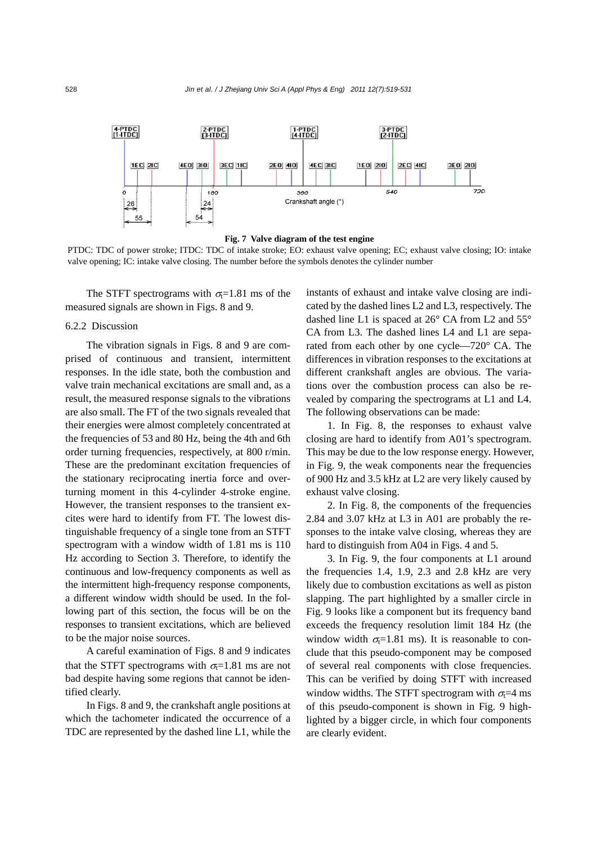

**Fig. 7 Valve diagram of the test engine** 

PTDC: TDC of power stroke; ITDC: TDC of intake stroke; EO: exhaust valve opening; EC; exhaust valve closing; IO: intake valve opening; IC: intake valve closing. The number before the symbols denotes the cylinder number

The STFT spectrograms with  $\sigma$ <sub>t</sub>=1.81 ms of the measured signals are shown in Figs. 8 and 9.

#### 6.2.2 Discussion

The vibration signals in Figs. 8 and 9 are comprised of continuous and transient, intermittent responses. In the idle state, both the combustion and valve train mechanical excitations are small and, as a result, the measured response signals to the vibrations are also small. The FT of the two signals revealed that their energies were almost completely concentrated at the frequencies of 53 and 80 Hz, being the 4th and 6th order turning frequencies, respectively, at 800 r/min. These are the predominant excitation frequencies of the stationary reciprocating inertia force and overturning moment in this 4-cylinder 4-stroke engine. However, the transient responses to the transient excites were hard to identify from FT. The lowest distinguishable frequency of a single tone from an STFT spectrogram with a window width of 1.81 ms is 110 Hz according to Section 3. Therefore, to identify the continuous and low-frequency components as well as the intermittent high-frequency response components, a different window width should be used. In the following part of this section, the focus will be on the responses to transient excitations, which are believed to be the major noise sources.

A careful examination of Figs. 8 and 9 indicates that the STFT spectrograms with  $\sigma$ =1.81 ms are not bad despite having some regions that cannot be identified clearly.

In Figs. 8 and 9, the crankshaft angle positions at which the tachometer indicated the occurrence of a TDC are represented by the dashed line L1, while the instants of exhaust and intake valve closing are indicated by the dashed lines L2 and L3, respectively. The dashed line L1 is spaced at 26° CA from L2 and 55° CA from L3. The dashed lines L4 and L1 are separated from each other by one cycle—720° CA. The differences in vibration responses to the excitations at different crankshaft angles are obvious. The variations over the combustion process can also be revealed by comparing the spectrograms at L1 and L4. The following observations can be made:

1. In Fig. 8, the responses to exhaust valve closing are hard to identify from A01's spectrogram. This may be due to the low response energy. However, in Fig. 9, the weak components near the frequencies of 900 Hz and 3.5 kHz at L2 are very likely caused by exhaust valve closing.

2. In Fig. 8, the components of the frequencies 2.84 and 3.07 kHz at L3 in A01 are probably the responses to the intake valve closing, whereas they are hard to distinguish from A04 in Figs. 4 and 5.

3. In Fig. 9, the four components at L1 around the frequencies 1.4, 1.9, 2.3 and 2.8 kHz are very likely due to combustion excitations as well as piston slapping. The part highlighted by a smaller circle in Fig. 9 looks like a component but its frequency band exceeds the frequency resolution limit 184 Hz (the window width  $\sigma$ =1.81 ms). It is reasonable to conclude that this pseudo-component may be composed of several real components with close frequencies. This can be verified by doing STFT with increased window widths. The STFT spectrogram with  $\sigma$ <sub>c</sub>=4 ms of this pseudo-component is shown in Fig. 9 highlighted by a bigger circle, in which four components are clearly evident.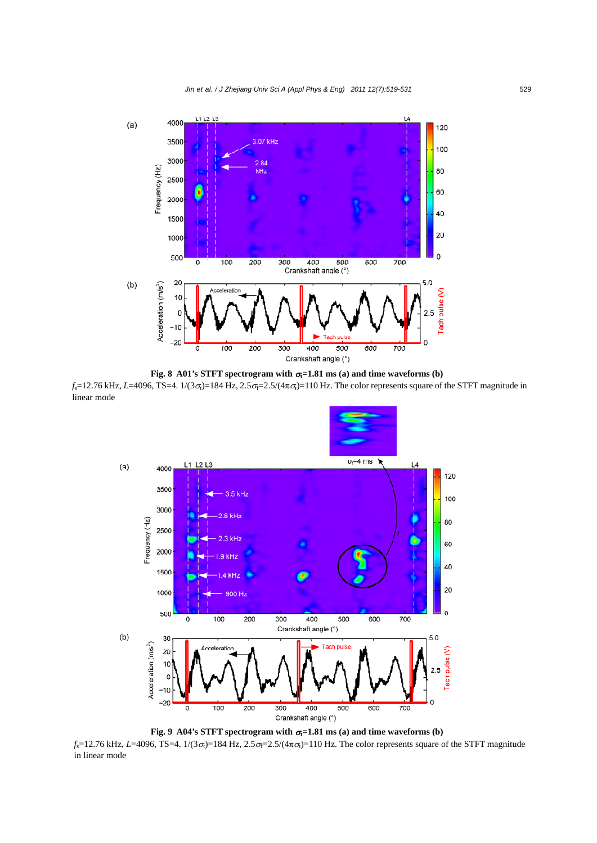*Jin et al. / J Zhejiang Univ Sci A (Appl Phys & Eng) 2011 12(7):519-531* 529



**Fig. 8 A01's STFT spectrogram with**  $\sigma$ **<sub>i</sub>=1.81 ms (a) and time waveforms (b)**  $f_s$ =12.76 kHz, *L*=4096, TS=4. 1/(3 $\sigma_t$ )=184 Hz, 2.5 $\sigma$ <sub>F</sub>=2.5/(4 $\pi \sigma_t$ )=110 Hz. The color represents square of the STFT magnitude in linear mode



**Fig. 9 A04's STFT spectrogram with**  $\sigma$ **<sub>i</sub>=1.81 ms (a) and time waveforms (b)** 

 $f_s$ =12.76 kHz, *L*=4096, TS=4. 1/(3 $\sigma_t$ )=184 Hz, 2.5 $\sigma_f$ =2.5/(4 $\pi \sigma_t$ )=110 Hz. The color represents square of the STFT magnitude in linear mode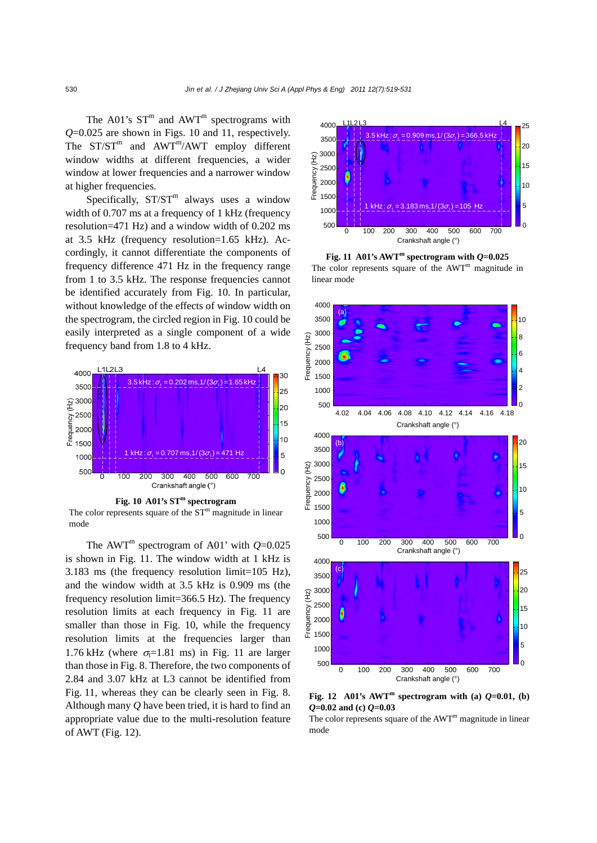The A01's  $ST^m$  and AWT<sup>m</sup> spectrograms with *Q*=0.025 are shown in Figs. 10 and 11, respectively. The  $ST/ST^m$  and  $AWT^m/AWT$  employ different window widths at different frequencies, a wider window at lower frequencies and a narrower window at higher frequencies.

Specifically,  $ST/ST^m$  always uses a window width of 0.707 ms at a frequency of 1 kHz (frequency resolution=471 Hz) and a window width of 0.202 ms at 3.5 kHz (frequency resolution=1.65 kHz). Accordingly, it cannot differentiate the components of frequency difference 471 Hz in the frequency range from 1 to 3.5 kHz. The response frequencies cannot be identified accurately from Fig. 10. In particular, without knowledge of the effects of window width on the spectrogram, the circled region in Fig. 10 could be easily interpreted as a single component of a wide frequency band from 1.8 to 4 kHz.



The color represents square of the  $ST<sup>m</sup>$  magnitude in linear mode

The AWT<sup>m</sup> spectrogram of A01' with  $O=0.025$ is shown in Fig. 11. The window width at 1 kHz is 3.183 ms (the frequency resolution limit=105 Hz), and the window width at 3.5 kHz is 0.909 ms (the frequency resolution limit=366.5 Hz). The frequency resolution limits at each frequency in Fig. 11 are smaller than those in Fig. 10, while the frequency resolution limits at the frequencies larger than 1.76 kHz (where  $\sigma$ =1.81 ms) in Fig. 11 are larger than those in Fig. 8. Therefore, the two components of 2.84 and 3.07 kHz at L3 cannot be identified from Fig. 11, whereas they can be clearly seen in Fig. 8. Although many *Q* have been tried, it is hard to find an appropriate value due to the multi-resolution feature of AWT (Fig. 12).



**Fig. 11 A01's AWT<sup>m</sup> spectrogram with**  $Q=0.025$ The color represents square of the AWT<sup>m</sup> magnitude in linear mode



**Fig. 12** A01's AWT<sup>m</sup> spectrogram with (a)  $Q=0.01$ , (b) *Q***=0.02 and (c)** *Q***=0.03** 

The color represents square of the  $AWT<sup>m</sup>$  magnitude in linear mode